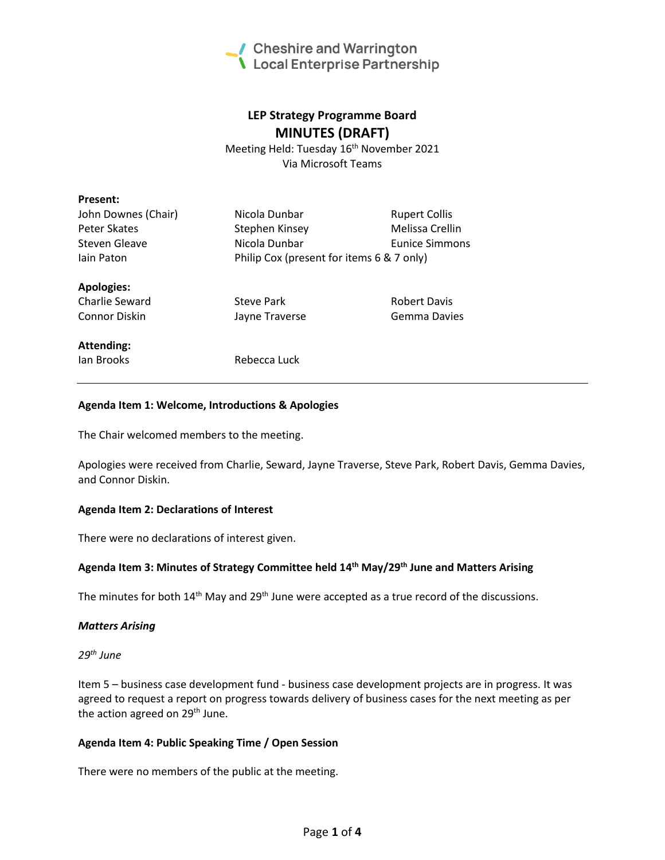

# **LEP Strategy Programme Board MINUTES (DRAFT)**

Meeting Held: Tuesday 16<sup>th</sup> November 2021 Via Microsoft Teams

| <b>Present:</b>     |                                           |                      |
|---------------------|-------------------------------------------|----------------------|
| John Downes (Chair) | Nicola Dunbar                             | <b>Rupert Collis</b> |
| Peter Skates        | Stephen Kinsey                            | Melissa Crellin      |
| Steven Gleave       | Nicola Dunbar                             | Eunice Simmons       |
| lain Paton          | Philip Cox (present for items 6 & 7 only) |                      |
| <b>Apologies:</b>   |                                           |                      |
| Charlie Seward      | Steve Park                                | <b>Robert Davis</b>  |
| Connor Diskin       | Jayne Traverse                            | Gemma Davies         |
| <b>Attending:</b>   |                                           |                      |
| lan Brooks          | Rebecca Luck                              |                      |

# **Agenda Item 1: Welcome, Introductions & Apologies**

The Chair welcomed members to the meeting.

Apologies were received from Charlie, Seward, Jayne Traverse, Steve Park, Robert Davis, Gemma Davies, and Connor Diskin.

#### **Agenda Item 2: Declarations of Interest**

There were no declarations of interest given.

# **Agenda Item 3: Minutes of Strategy Committee held 14 th May/29th June and Matters Arising**

The minutes for both  $14<sup>th</sup>$  May and  $29<sup>th</sup>$  June were accepted as a true record of the discussions.

#### *Matters Arising*

*29th June* 

Item 5 – business case development fund - business case development projects are in progress. It was agreed to request a report on progress towards delivery of business cases for the next meeting as per the action agreed on 29<sup>th</sup> June.

#### **Agenda Item 4: Public Speaking Time / Open Session**

There were no members of the public at the meeting.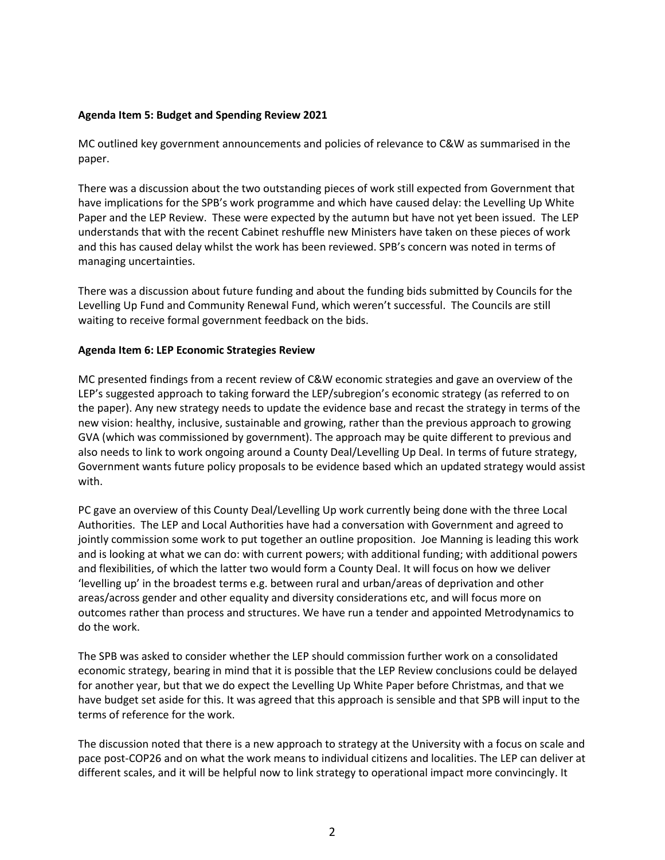# **Agenda Item 5: Budget and Spending Review 2021**

MC outlined key government announcements and policies of relevance to C&W as summarised in the paper.

There was a discussion about the two outstanding pieces of work still expected from Government that have implications for the SPB's work programme and which have caused delay: the Levelling Up White Paper and the LEP Review. These were expected by the autumn but have not yet been issued. The LEP understands that with the recent Cabinet reshuffle new Ministers have taken on these pieces of work and this has caused delay whilst the work has been reviewed. SPB's concern was noted in terms of managing uncertainties.

There was a discussion about future funding and about the funding bids submitted by Councils for the Levelling Up Fund and Community Renewal Fund, which weren't successful. The Councils are still waiting to receive formal government feedback on the bids.

# **Agenda Item 6: LEP Economic Strategies Review**

MC presented findings from a recent review of C&W economic strategies and gave an overview of the LEP's suggested approach to taking forward the LEP/subregion's economic strategy (as referred to on the paper). Any new strategy needs to update the evidence base and recast the strategy in terms of the new vision: healthy, inclusive, sustainable and growing, rather than the previous approach to growing GVA (which was commissioned by government). The approach may be quite different to previous and also needs to link to work ongoing around a County Deal/Levelling Up Deal. In terms of future strategy, Government wants future policy proposals to be evidence based which an updated strategy would assist with.

PC gave an overview of this County Deal/Levelling Up work currently being done with the three Local Authorities. The LEP and Local Authorities have had a conversation with Government and agreed to jointly commission some work to put together an outline proposition. Joe Manning is leading this work and is looking at what we can do: with current powers; with additional funding; with additional powers and flexibilities, of which the latter two would form a County Deal. It will focus on how we deliver 'levelling up' in the broadest terms e.g. between rural and urban/areas of deprivation and other areas/across gender and other equality and diversity considerations etc, and will focus more on outcomes rather than process and structures. We have run a tender and appointed Metrodynamics to do the work.

The SPB was asked to consider whether the LEP should commission further work on a consolidated economic strategy, bearing in mind that it is possible that the LEP Review conclusions could be delayed for another year, but that we do expect the Levelling Up White Paper before Christmas, and that we have budget set aside for this. It was agreed that this approach is sensible and that SPB will input to the terms of reference for the work.

The discussion noted that there is a new approach to strategy at the University with a focus on scale and pace post-COP26 and on what the work means to individual citizens and localities. The LEP can deliver at different scales, and it will be helpful now to link strategy to operational impact more convincingly. It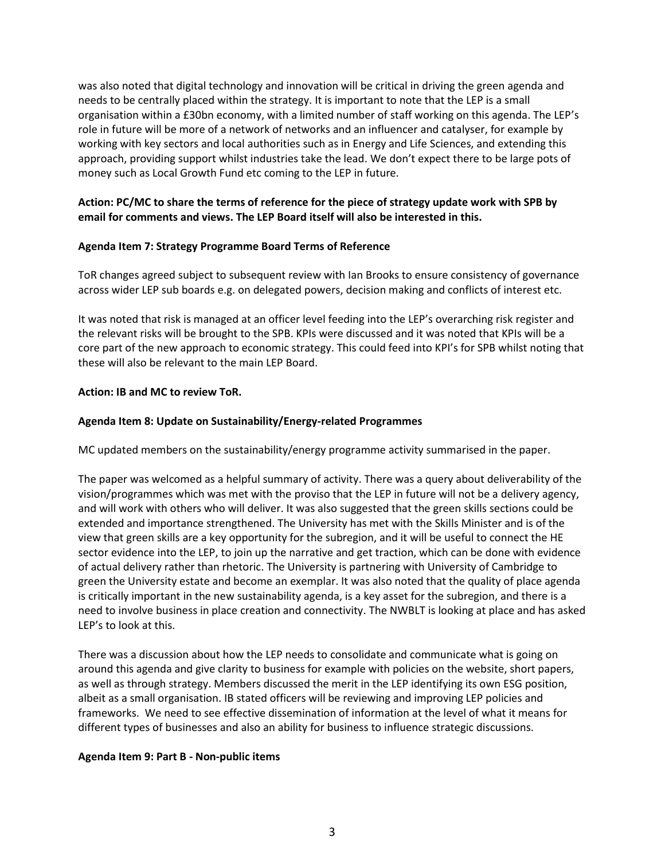was also noted that digital technology and innovation will be critical in driving the green agenda and needs to be centrally placed within the strategy. It is important to note that the LEP is a small organisation within a £30bn economy, with a limited number of staff working on this agenda. The LEP's role in future will be more of a network of networks and an influencer and catalyser, for example by working with key sectors and local authorities such as in Energy and Life Sciences, and extending this approach, providing support whilst industries take the lead. We don't expect there to be large pots of money such as Local Growth Fund etc coming to the LEP in future.

# **Action: PC/MC to share the terms of reference for the piece of strategy update work with SPB by email for comments and views. The LEP Board itself will also be interested in this.**

# **Agenda Item 7: Strategy Programme Board Terms of Reference**

ToR changes agreed subject to subsequent review with Ian Brooks to ensure consistency of governance across wider LEP sub boards e.g. on delegated powers, decision making and conflicts of interest etc.

It was noted that risk is managed at an officer level feeding into the LEP's overarching risk register and the relevant risks will be brought to the SPB. KPIs were discussed and it was noted that KPIs will be a core part of the new approach to economic strategy. This could feed into KPI's for SPB whilst noting that these will also be relevant to the main LEP Board.

# **Action: IB and MC to review ToR.**

# **Agenda Item 8: Update on Sustainability/Energy-related Programmes**

MC updated members on the sustainability/energy programme activity summarised in the paper.

The paper was welcomed as a helpful summary of activity. There was a query about deliverability of the vision/programmes which was met with the proviso that the LEP in future will not be a delivery agency, and will work with others who will deliver. It was also suggested that the green skills sections could be extended and importance strengthened. The University has met with the Skills Minister and is of the view that green skills are a key opportunity for the subregion, and it will be useful to connect the HE sector evidence into the LEP, to join up the narrative and get traction, which can be done with evidence of actual delivery rather than rhetoric. The University is partnering with University of Cambridge to green the University estate and become an exemplar. It was also noted that the quality of place agenda is critically important in the new sustainability agenda, is a key asset for the subregion, and there is a need to involve business in place creation and connectivity. The NWBLT is looking at place and has asked LEP's to look at this.

There was a discussion about how the LEP needs to consolidate and communicate what is going on around this agenda and give clarity to business for example with policies on the website, short papers, as well as through strategy. Members discussed the merit in the LEP identifying its own ESG position, albeit as a small organisation. IB stated officers will be reviewing and improving LEP policies and frameworks. We need to see effective dissemination of information at the level of what it means for different types of businesses and also an ability for business to influence strategic discussions.

# **Agenda Item 9: Part B - Non-public items**